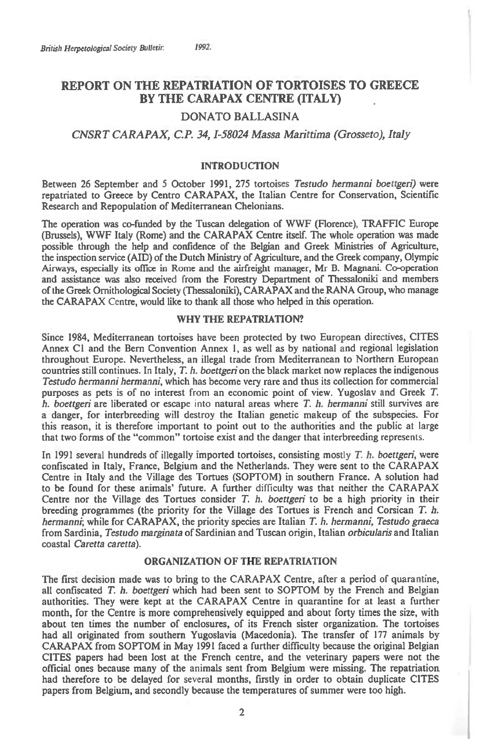# **REPORT ON THE REPATRIATION OF TORTOISES TO GREECE BY THE CARAPAX CENTRE (ITALY)**

## **DONATO BALLASINA**

### *CNSRT CARAPAX, C.P. 34, 1-58024 Massa Marittima (Grosseto), Italy*

#### **INTRODUCTION**

**Between 26 September and 5 October 1991, 275 tortoises** *Testudo hermanni boettgeri)* **were repatriated to Greece by Centro CARAPAX, the Italian Centre for Conservation, Scientific Research and Repopulation of Mediterranean Chelonians.** 

**The operation was co-funded by the Tuscan delegation of WWF (Florence), TRAFFIC Europe (Brussels), WWF Italy (Rome) and the CARAPAX Centre itself. The whole operation was made possible through the help and confidence of the Belgian and Greek Ministries of Agriculture, the inspection service (AID) of the Dutch Ministry of Agriculture, and the Greek company, Olympic Airways, especially its office in Rome and the airfreight manager, Mr B. Magnani. Co-operation and assistance was also received from the Forestry Department of Thessaloniki and members of the Greek Ornithological Society (Thessaloniki), CARAPAX and the RANA Group, who manage the CARAPAX Centre, would like to thank all those who helped in this operation.** 

#### **WHY THE REPATRIATION?**

**Since 1984, Mediterranean tortoises have been protected by two European directives, CITES Annex Cl and the Bern Convention Annex 1, as well as by national and regional legislation throughout Europe. Nevertheless, an illegal trade from Mediterranean to Northern European countries still continues. In Italy,** *T. h. boettgeri* **on the black market now replaces the indigenous**  *Testudo hermanni hermanni,* **which has become very rare and thus its collection for commercial purposes as pets is of no interest from an economic point of view. Yugoslav and Greek** *T. h. boettgeri* **are liberated or escape** into **natural areas where** *T. h. hermanni* **still survives are a danger, for interbreeding will destroy the Italian genetic makeup of the subspecies. For this reason, it is therefore important to point out to the authorities and the public at large that two forms of the "common" tortoise exist and the danger that interbreeding represents.** 

**In 1991 several hundreds of illegally imported tortoises, consisting mostly** *T. h. boettgeri,* **were confiscated in Italy, France, Belgium and the Netherlands. They were sent to the CARAPAX Centre in Italy and the Village des Tortues (SOPTOM) in southern France. A solution had to be found for these animals' future. A further difficulty was that neither the CARAPAX Centre nor the Village des Tortues consider** *T. h. boettgeri* **to be a high priority in their breeding programmes (the priority for the Village des Tortues is French and Corsican** *T. h. hermanni;* **while for CARAPAX, the priority species are Italian** *T. h. hermanni, Testudo graeca*  **from Sardinia,** *Testudo marginata* **of Sardinian and Tuscan origin, Italian** *orbicularis* **and Italian coastal** *Caretta caretta).* 

#### **ORGANIZATION OF THE REPATRIATION**

**The first decision made was to bring to the CARAPAX Centre, after a period of quarantine, all confiscated** *T. h. boettgeri* **which had been sent to SOPTOM by the French and Belgian authorities. They were kept at the CARAPAX Centre in quarantine for at least a further month, for the Centre is more comprehensively equipped and about forty times the size, with about ten times the number of enclosures, of its French sister organization. The tortoises had all originated from southern Yugoslavia (Macedonia). The transfer of 177 animals by CARAPAX from SOPTOM in May 1991 faced a further difficulty because the original Belgian CITES papers had been lost at the French centre, and the veterinary papers were not the official ones because many of the animals sent from Belgium were missing. The repatriation had therefore to be delayed for** several **months, firstly in order to obtain duplicate CITES papers from Belgium, and secondly because the temperatures of summer were too high.**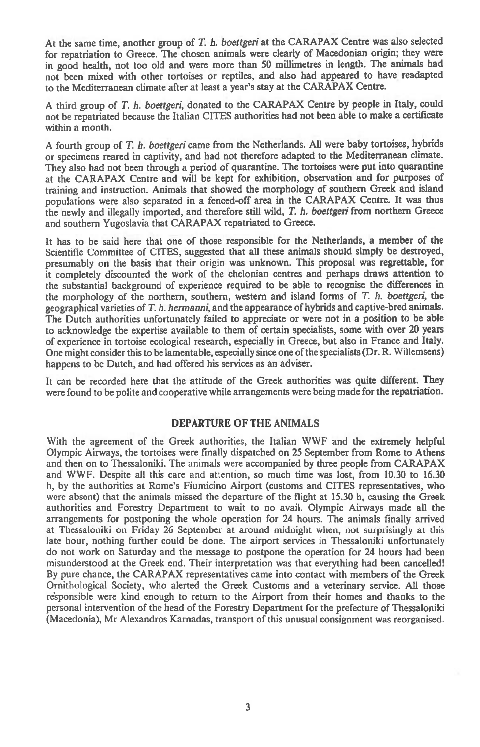**At the same time, another group of** *T. h. boettgeri at* **the CARAPAX Centre was also selected for repatriation to Greece. The chosen animals were clearly of Macedonian origin; they were in good health, not too old and were more than 50 millimetres in length. The animals had not been mixed with other tortoises or reptiles, and also had appeared to have readapted to the Mediterranean climate after at least a year's stay at the CARAPAX Centre.** 

**A third group of** *T. h. boettgeri,* **donated to the CARAPAX Centre by people in Italy, could not be repatriated because the Italian CITES authorities had not been able to make a certificate within a month.** 

**A fourth group of** *T. h. boettgeri* **came from the Netherlands. All were baby tortoises, hybrids or specimens reared in captivity, and had not therefore adapted to the Mediterranean climate. They also had not been through a period of quarantine. The tortoises were put into quarantine at the CARAPAX Centre and will be kept for exhibition, observation and for purposes of training and instruction. Animals that showed the morphology of southern Greek and island populations were also separated in a fenced-off area in the CARAPAX Centre. It was thus the newly and illegally imported, and therefore still wild,** *T. h. boettgeri* **from northern Greece and southern Yugoslavia that CARAPAX repatriated to Greece.** 

**It has to be said here that one of those responsible for the Netherlands, a member of the Scientific Committee of CITES, suggested that all these animals should simply be destroyed, presumably on the basis that their** origin **was unknown. This proposal was regrettable, for it completely discounted the work of the chelonian centres and perhaps draws attention to the substantial background of experience required to be able to recognise the differences in the morphology of the northern, southern, western and island forms of** *T. h. boettgeri,* **the geographical varieties of** *T. h. hermanni,* **and the appearance of hybrids and captive-bred animals. The Dutch authorities unfortunately failed to appreciate or were not in a position to be able to acknowledge the expertise available to them of certain specialists, some with over 20 years of experience in tortoise ecological research, especially in Greece, but also in France and Italy. One might consider this to be lamentable, especially since one of the specialists (Dr. R. Willemsens) happens to be Dutch, and had offered his services as an adviser.** 

**It can be recorded here that the attitude of the Greek authorities was quite different. They were found to be polite and cooperative while arrangements were being made for the repatriation.** 

#### **DEPARTURE OF THE ANIMALS**

**With the agreement of the Greek authorities, the Italian WWF and the extremely helpful Olympic Airways, the tortoises were finally dispatched on 25 September from Rome to Athens and then on to Thessaloniki. The animals** were **accompanied by three people from CARAPAX and WWF. Despite all this care and attention, so much time was lost, from 10.30 to 16.30 h, by the authorities at Rome's Fiumicino Airport (customs and CITES representatives, who were absent) that the animals missed the departure of the flight at 15.30 h, causing the Greek authorities and Forestry Department to wait to no avail. Olympic Airways made all the arrangements for postponing the whole operation for 24 hours. The animals finally arrived at Thessaloniki on Friday 26 September at around midnight when, not surprisingly at** this **late hour, nothing further could be done. The airport services in Thessaloniki unfortunately do not work on Saturday and the message to postpone the operation for 24 hours had been misunderstood at the Greek end. Their interpretation was that everything had been cancelled! By pure chance, the CARAPAX representatives came into contact with members of the Greek Ornithological Society, who alerted the Greek Customs and a veterinary service. All those responsible were kind enough to return to the Airport from their homes and thanks to the personal intervention of the head of the Forestry Department for the prefecture of Thessaloniki (Macedonia), Mr Alexandros Karnadas, transport of this unusual consignment was reorganised.**